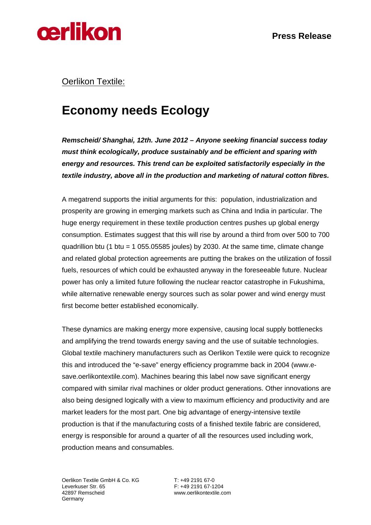

### Oerlikon Textile:

## **Economy needs Ecology**

*Remscheid/ Shanghai, 12th. June 2012* **–** *Anyone seeking financial success today must think ecologically, produce sustainably and be efficient and sparing with energy and resources. This trend can be exploited satisfactorily especially in the textile industry, above all in the production and marketing of natural cotton fibres.* 

A megatrend supports the initial arguments for this: population, industrialization and prosperity are growing in emerging markets such as China and India in particular. The huge energy requirement in these textile production centres pushes up global energy consumption. Estimates suggest that this will rise by around a third from over 500 to 700 quadrillion btu (1 btu = 1 055.05585 joules) by 2030. At the same time, climate change and related global protection agreements are putting the brakes on the utilization of fossil fuels, resources of which could be exhausted anyway in the foreseeable future. Nuclear power has only a limited future following the nuclear reactor catastrophe in Fukushima, while alternative renewable energy sources such as solar power and wind energy must first become better established economically.

These dynamics are making energy more expensive, causing local supply bottlenecks and amplifying the trend towards energy saving and the use of suitable technologies. Global textile machinery manufacturers such as Oerlikon Textile were quick to recognize this and introduced the "e-save" energy efficiency programme back in 2004 (www.esave.oerlikontextile.com). Machines bearing this label now save significant energy compared with similar rival machines or older product generations. Other innovations are also being designed logically with a view to maximum efficiency and productivity and are market leaders for the most part. One big advantage of energy-intensive textile production is that if the manufacturing costs of a finished textile fabric are considered, energy is responsible for around a quarter of all the resources used including work, production means and consumables.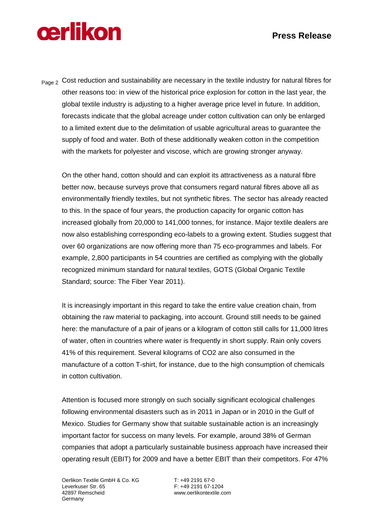#### **Press Release**

# **cerlikon**

Page 2 Cost reduction and sustainability are necessary in the textile industry for natural fibres for other reasons too: in view of the historical price explosion for cotton in the last year, the global textile industry is adjusting to a higher average price level in future. In addition, forecasts indicate that the global acreage under cotton cultivation can only be enlarged to a limited extent due to the delimitation of usable agricultural areas to guarantee the supply of food and water. Both of these additionally weaken cotton in the competition with the markets for polyester and viscose, which are growing stronger anyway.

On the other hand, cotton should and can exploit its attractiveness as a natural fibre better now, because surveys prove that consumers regard natural fibres above all as environmentally friendly textiles, but not synthetic fibres. The sector has already reacted to this. In the space of four years, the production capacity for organic cotton has increased globally from 20,000 to 141,000 tonnes, for instance. Major textile dealers are now also establishing corresponding eco-labels to a growing extent. Studies suggest that over 60 organizations are now offering more than 75 eco-programmes and labels. For example, 2,800 participants in 54 countries are certified as complying with the globally recognized minimum standard for natural textiles, GOTS (Global Organic Textile Standard; source: The Fiber Year 2011).

It is increasingly important in this regard to take the entire value creation chain, from obtaining the raw material to packaging, into account. Ground still needs to be gained here: the manufacture of a pair of jeans or a kilogram of cotton still calls for 11,000 litres of water, often in countries where water is frequently in short supply. Rain only covers 41% of this requirement. Several kilograms of CO2 are also consumed in the manufacture of a cotton T-shirt, for instance, due to the high consumption of chemicals in cotton cultivation.

Attention is focused more strongly on such socially significant ecological challenges following environmental disasters such as in 2011 in Japan or in 2010 in the Gulf of Mexico. Studies for Germany show that suitable sustainable action is an increasingly important factor for success on many levels. For example, around 38% of German companies that adopt a particularly sustainable business approach have increased their operating result (EBIT) for 2009 and have a better EBIT than their competitors. For 47%